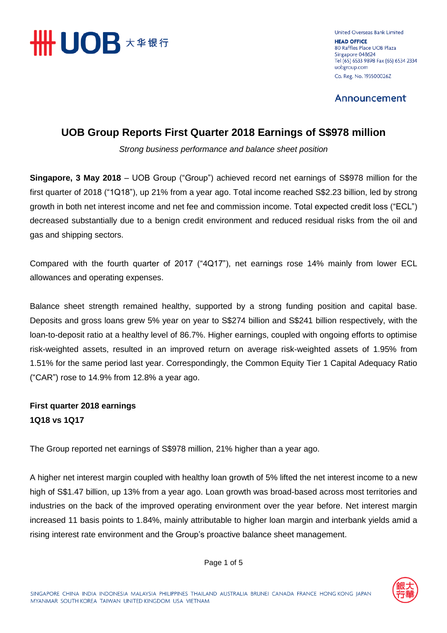

United Overseas Bank Limited **HEAD OFFICE** 80 Raffles Place UOB Plaza Singapore 048624 Tel (65) 6533 9898 Fax (65) 6534 2334 uobgroup.com Co. Reg. No. 193500026Z

Announcement

# **UOB Group Reports First Quarter 2018 Earnings of S\$978 million**

*Strong business performance and balance sheet position*

**Singapore, 3 May 2018** – UOB Group ("Group") achieved record net earnings of S\$978 million for the first quarter of 2018 ("1Q18"), up 21% from a year ago. Total income reached S\$2.23 billion, led by strong growth in both net interest income and net fee and commission income. Total expected credit loss ("ECL") decreased substantially due to a benign credit environment and reduced residual risks from the oil and gas and shipping sectors.

Compared with the fourth quarter of 2017 ("4Q17"), net earnings rose 14% mainly from lower ECL allowances and operating expenses.

Balance sheet strength remained healthy, supported by a strong funding position and capital base. Deposits and gross loans grew 5% year on year to S\$274 billion and S\$241 billion respectively, with the loan-to-deposit ratio at a healthy level of 86.7%. Higher earnings, coupled with ongoing efforts to optimise risk-weighted assets, resulted in an improved return on average risk-weighted assets of 1.95% from 1.51% for the same period last year. Correspondingly, the Common Equity Tier 1 Capital Adequacy Ratio ("CAR") rose to 14.9% from 12.8% a year ago.

# **First quarter 2018 earnings 1Q18 vs 1Q17**

The Group reported net earnings of S\$978 million, 21% higher than a year ago.

A higher net interest margin coupled with healthy loan growth of 5% lifted the net interest income to a new high of S\$1.47 billion, up 13% from a year ago. Loan growth was broad-based across most territories and industries on the back of the improved operating environment over the year before. Net interest margin increased 11 basis points to 1.84%, mainly attributable to higher loan margin and interbank yields amid a rising interest rate environment and the Group's proactive balance sheet management.



Page 1 of 5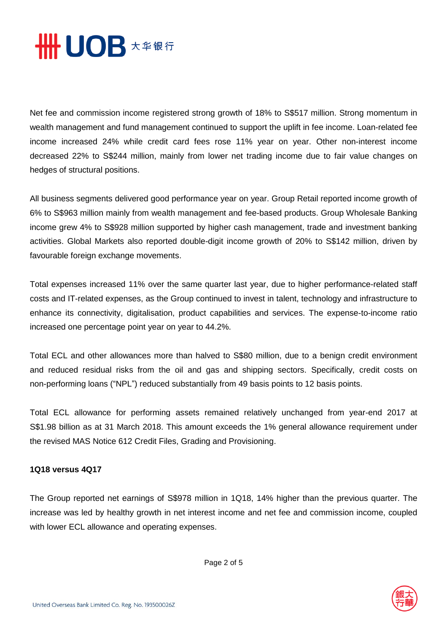

Net fee and commission income registered strong growth of 18% to S\$517 million. Strong momentum in wealth management and fund management continued to support the uplift in fee income. Loan-related fee income increased 24% while credit card fees rose 11% year on year. Other non-interest income decreased 22% to S\$244 million, mainly from lower net trading income due to fair value changes on hedges of structural positions.

All business segments delivered good performance year on year. Group Retail reported income growth of 6% to S\$963 million mainly from wealth management and fee-based products. Group Wholesale Banking income grew 4% to S\$928 million supported by higher cash management, trade and investment banking activities. Global Markets also reported double-digit income growth of 20% to S\$142 million, driven by favourable foreign exchange movements.

Total expenses increased 11% over the same quarter last year, due to higher performance-related staff costs and IT-related expenses, as the Group continued to invest in talent, technology and infrastructure to enhance its connectivity, digitalisation, product capabilities and services. The expense-to-income ratio increased one percentage point year on year to 44.2%.

Total ECL and other allowances more than halved to S\$80 million, due to a benign credit environment and reduced residual risks from the oil and gas and shipping sectors. Specifically, credit costs on non-performing loans ("NPL") reduced substantially from 49 basis points to 12 basis points.

Total ECL allowance for performing assets remained relatively unchanged from year-end 2017 at S\$1.98 billion as at 31 March 2018. This amount exceeds the 1% general allowance requirement under the revised MAS Notice 612 Credit Files, Grading and Provisioning.

### **1Q18 versus 4Q17**

The Group reported net earnings of S\$978 million in 1Q18, 14% higher than the previous quarter. The increase was led by healthy growth in net interest income and net fee and commission income, coupled with lower ECL allowance and operating expenses.

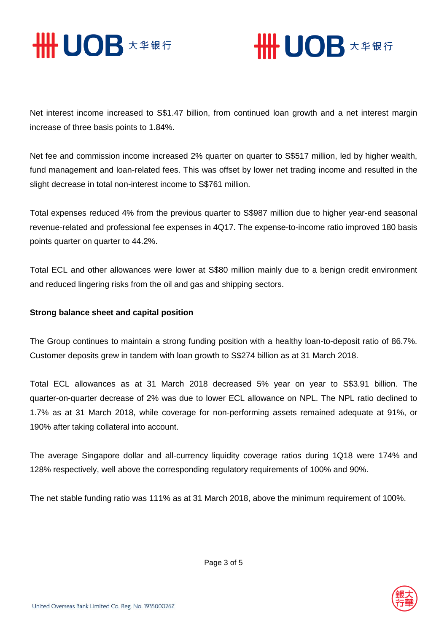



Net interest income increased to S\$1.47 billion, from continued loan growth and a net interest margin increase of three basis points to 1.84%.

Net fee and commission income increased 2% quarter on quarter to S\$517 million, led by higher wealth, fund management and loan-related fees. This was offset by lower net trading income and resulted in the slight decrease in total non-interest income to S\$761 million.

Total expenses reduced 4% from the previous quarter to S\$987 million due to higher year-end seasonal revenue-related and professional fee expenses in 4Q17. The expense-to-income ratio improved 180 basis points quarter on quarter to 44.2%.

Total ECL and other allowances were lower at S\$80 million mainly due to a benign credit environment and reduced lingering risks from the oil and gas and shipping sectors.

## **Strong balance sheet and capital position**

The Group continues to maintain a strong funding position with a healthy loan-to-deposit ratio of 86.7%. Customer deposits grew in tandem with loan growth to S\$274 billion as at 31 March 2018.

Total ECL allowances as at 31 March 2018 decreased 5% year on year to S\$3.91 billion. The quarter-on-quarter decrease of 2% was due to lower ECL allowance on NPL. The NPL ratio declined to 1.7% as at 31 March 2018, while coverage for non-performing assets remained adequate at 91%, or 190% after taking collateral into account.

The average Singapore dollar and all-currency liquidity coverage ratios during 1Q18 were 174% and 128% respectively, well above the corresponding regulatory requirements of 100% and 90%.

The net stable funding ratio was 111% as at 31 March 2018, above the minimum requirement of 100%.

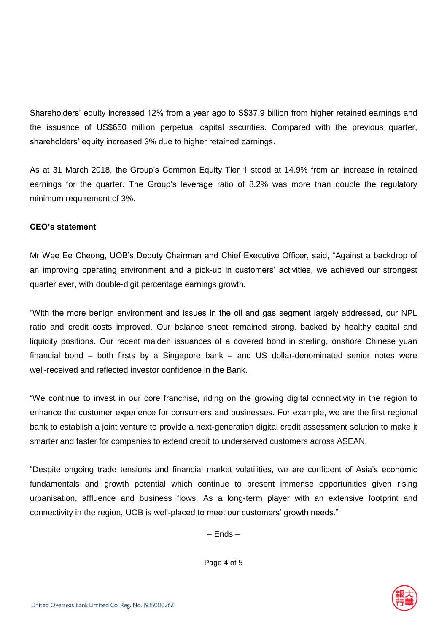Shareholders' equity increased 12% from a year ago to S\$37.9 billion from higher retained earnings and the issuance of US\$650 million perpetual capital securities. Compared with the previous quarter, shareholders' equity increased 3% due to higher retained earnings.

As at 31 March 2018, the Group's Common Equity Tier 1 stood at 14.9% from an increase in retained earnings for the quarter. The Group's leverage ratio of 8.2% was more than double the regulatory minimum requirement of 3%.

### **CEO's statement**

Mr Wee Ee Cheong, UOB's Deputy Chairman and Chief Executive Officer, said, "Against a backdrop of an improving operating environment and a pick-up in customers' activities, we achieved our strongest quarter ever, with double-digit percentage earnings growth.

"With the more benign environment and issues in the oil and gas segment largely addressed, our NPL ratio and credit costs improved. Our balance sheet remained strong, backed by healthy capital and liquidity positions. Our recent maiden issuances of a covered bond in sterling, onshore Chinese yuan financial bond – both firsts by a Singapore bank – and US dollar-denominated senior notes were well-received and reflected investor confidence in the Bank.

"We continue to invest in our core franchise, riding on the growing digital connectivity in the region to enhance the customer experience for consumers and businesses. For example, we are the first regional bank to establish a joint venture to provide a next-generation digital credit assessment solution to make it smarter and faster for companies to extend credit to underserved customers across ASEAN.

"Despite ongoing trade tensions and financial market volatilities, we are confident of Asia's economic fundamentals and growth potential which continue to present immense opportunities given rising urbanisation, affluence and business flows. As a long-term player with an extensive footprint and connectivity in the region, UOB is well-placed to meet our customers' growth needs."

– Ends –

Page 4 of 5